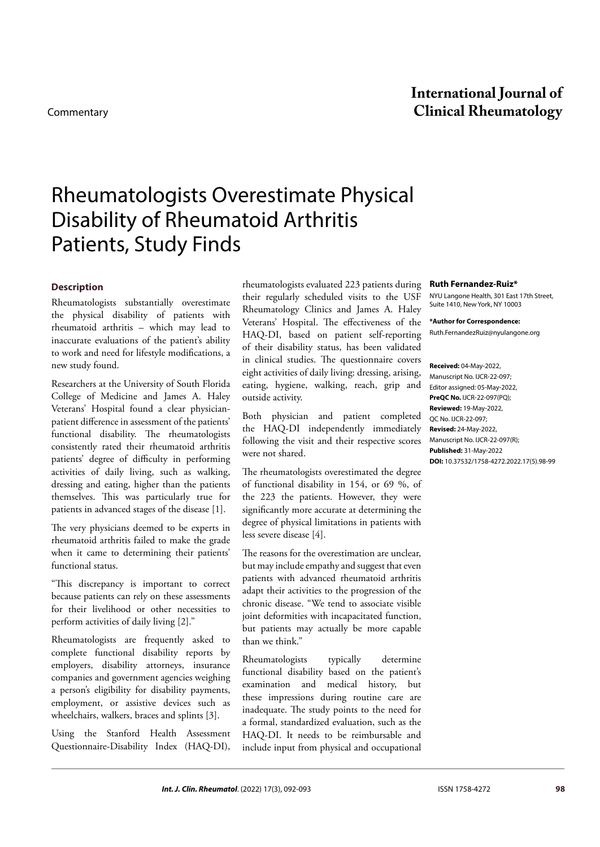# Rheumatologists Overestimate Physical Disability of Rheumatoid Arthritis Patients, Study Finds

## **Description**

Rheumatologists substantially overestimate the physical disability of patients with rheumatoid arthritis – which may lead to inaccurate evaluations of the patient's ability to work and need for lifestyle modifications, a new study found.

Researchers at the University of South Florida College of Medicine and James A. Haley Veterans' Hospital found a clear physicianpatient difference in assessment of the patients' functional disability. The rheumatologists consistently rated their rheumatoid arthritis patients' degree of difficulty in performing activities of daily living, such as walking, dressing and eating, higher than the patients themselves. This was particularly true for patients in advanced stages of the disease [1].

The very physicians deemed to be experts in rheumatoid arthritis failed to make the grade when it came to determining their patients' functional status.

"This discrepancy is important to correct because patients can rely on these assessments for their livelihood or other necessities to perform activities of daily living [2]."

Rheumatologists are frequently asked to complete functional disability reports by employers, disability attorneys, insurance companies and government agencies weighing a person's eligibility for disability payments, employment, or assistive devices such as wheelchairs, walkers, braces and splints [3].

Using the Stanford Health Assessment Questionnaire-Disability Index (HAQ-DI),

rheumatologists evaluated 223 patients during their regularly scheduled visits to the USF Rheumatology Clinics and James A. Haley Veterans' Hospital. The effectiveness of the HAQ-DI, based on patient self-reporting of their disability status, has been validated in clinical studies. The questionnaire covers eight activities of daily living: dressing, arising, eating, hygiene, walking, reach, grip and outside activity.

Both physician and patient completed the HAQ-DI independently immediately following the visit and their respective scores were not shared.

The rheumatologists overestimated the degree of functional disability in 154, or 69 %, of the 223 the patients. However, they were significantly more accurate at determining the degree of physical limitations in patients with less severe disease [4].

The reasons for the overestimation are unclear, but may include empathy and suggest that even patients with advanced rheumatoid arthritis adapt their activities to the progression of the chronic disease. "We tend to associate visible joint deformities with incapacitated function, but patients may actually be more capable than we think."

Rheumatologists typically determine functional disability based on the patient's examination and medical history, but these impressions during routine care are inadequate. The study points to the need for a formal, standardized evaluation, such as the HAQ-DI. It needs to be reimbursable and include input from physical and occupational

#### **Ruth Fernandez-Ruiz\***

NYU Langone Health, 301 East 17th Street, Suite 1410, New York, NY 10003

**\*Author for Correspondence:**  [Ruth.FernandezRuiz@nyulangone.org](mailto:Ruth.FernandezRuiz@nyulangone.org)

**Received:** 04-May-2022, Manuscript No. IJCR-22-097; Editor assigned: 05-May-2022, **PreQC No.** IJCR-22-097(PQ); **Reviewed:** 19-May-2022, QC No. IJCR-22-097; **Revised:** 24-May-2022, Manuscript No. IJCR-22-097(R); **Published:** 31-May-2022 **DOI:** 10.37532/1758-4272.2022.17(5).98-99